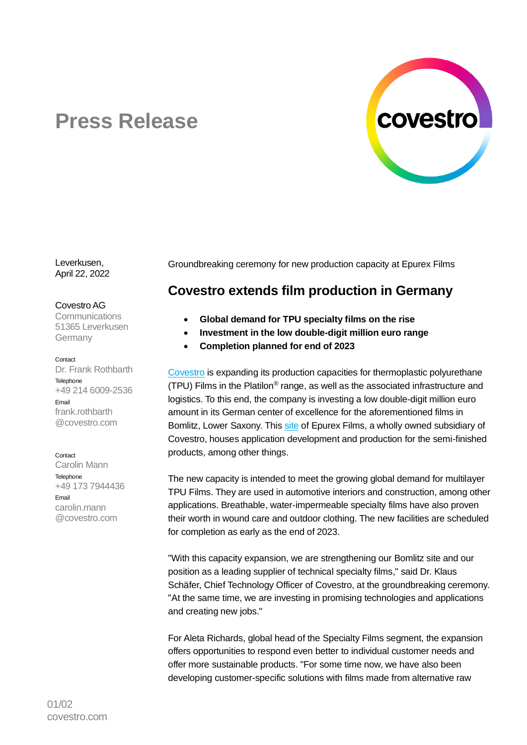

# **Press Release**

Leverkusen, April 22, 2022

### Covestro AG

**Communications** 51365 Leverkusen **Germany** 

#### Contact

Dr. Frank Rothbarth **Telephone** +49 214 6009-2536 Email frank.rothbarth @covestro.com

#### **Contact**

Carolin Mann **Telephone** +49 173 7944436 Email carolin.mann @covestro.com

Groundbreaking ceremony for new production capacity at Epurex Films

# **Covestro extends film production in Germany**

- **Global demand for TPU specialty films on the rise**
- **Investment in the low double-digit million euro range**
- **Completion planned for end of 2023**

[Covestro](https://www.covestro.com/) is expanding its production capacities for thermoplastic polyurethane (TPU) Films in the Platilon® range, as well as the associated infrastructure and logistics. To this end, the company is investing a low double-digit million euro amount in its German center of excellence for the aforementioned films in Bomlitz, Lower Saxony. This [site](https://www.industriepark-walsrode.de/en/unternehmen-und-branchen/unternehmen-im-ipw/epurex-films-gmbh-co-kg/) of Epurex Films, a wholly owned subsidiary of Covestro, houses application development and production for the semi-finished products, among other things.

The new capacity is intended to meet the growing global demand for multilayer TPU Films. They are used in automotive interiors and construction, among other applications. Breathable, water-impermeable specialty films have also proven their worth in wound care and outdoor clothing. The new facilities are scheduled for completion as early as the end of 2023.

"With this capacity expansion, we are strengthening our Bomlitz site and our position as a leading supplier of technical specialty films," said Dr. Klaus Schäfer, Chief Technology Officer of Covestro, at the groundbreaking ceremony. "At the same time, we are investing in promising technologies and applications and creating new jobs."

For Aleta Richards, global head of the Specialty Films segment, the expansion offers opportunities to respond even better to individual customer needs and offer more sustainable products. "For some time now, we have also been developing customer-specific solutions with films made from alternative raw